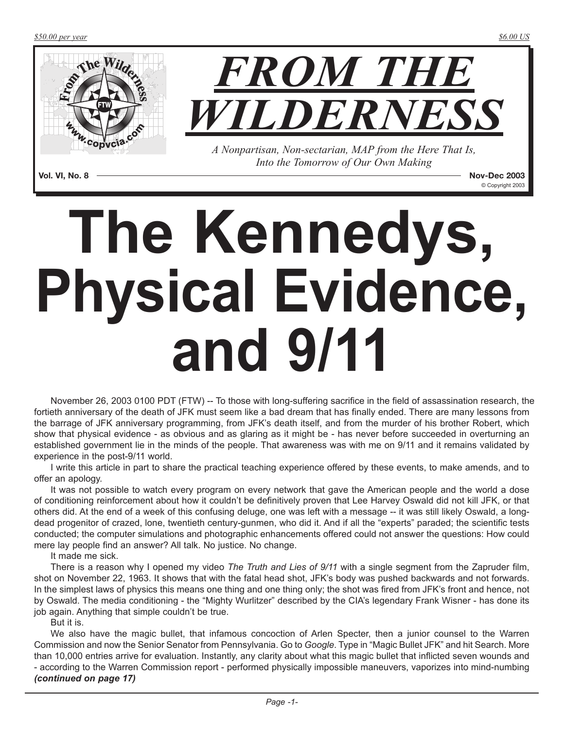

**Vol. VI, No. 8 Nov-Dec 2003** © Copyright 2003

# **The Kennedys, Physical Evidence, and 9/11**

November 26, 2003 0100 PDT (FTW) -- To those with long-suffering sacrifice in the field of assassination research, the fortieth anniversary of the death of JFK must seem like a bad dream that has finally ended. There are many lessons from the barrage of JFK anniversary programming, from JFK's death itself, and from the murder of his brother Robert, which show that physical evidence - as obvious and as glaring as it might be - has never before succeeded in overturning an established government lie in the minds of the people. That awareness was with me on 9/11 and it remains validated by experience in the post-9/11 world.

I write this article in part to share the practical teaching experience offered by these events, to make amends, and to offer an apology.

It was not possible to watch every program on every network that gave the American people and the world a dose of conditioning reinforcement about how it couldn't be definitively proven that Lee Harvey Oswald did not kill JFK, or that others did. At the end of a week of this confusing deluge, one was left with a message -- it was still likely Oswald, a longdead progenitor of crazed, lone, twentieth century-gunmen, who did it. And if all the "experts" paraded; the scientific tests conducted; the computer simulations and photographic enhancements offered could not answer the questions: How could mere lay people find an answer? All talk. No justice. No change.

It made me sick.

There is a reason why I opened my video *The Truth and Lies of 9/11* with a single segment from the Zapruder film, shot on November 22, 1963. It shows that with the fatal head shot, JFK's body was pushed backwards and not forwards. In the simplest laws of physics this means one thing and one thing only; the shot was fired from JFK's front and hence, not by Oswald. The media conditioning - the "Mighty Wurlitzer" described by the CIA's legendary Frank Wisner - has done its job again. Anything that simple couldn't be true.

But it is.

We also have the magic bullet, that infamous concoction of Arlen Specter, then a junior counsel to the Warren Commission and now the Senior Senator from Pennsylvania. Go to *Google*. Type in "Magic Bullet JFK" and hit Search. More than 10,000 entries arrive for evaluation. Instantly, any clarity about what this magic bullet that inflicted seven wounds and - according to the Warren Commission report - performed physically impossible maneuvers, vaporizes into mind-numbing *(continued on page 17)*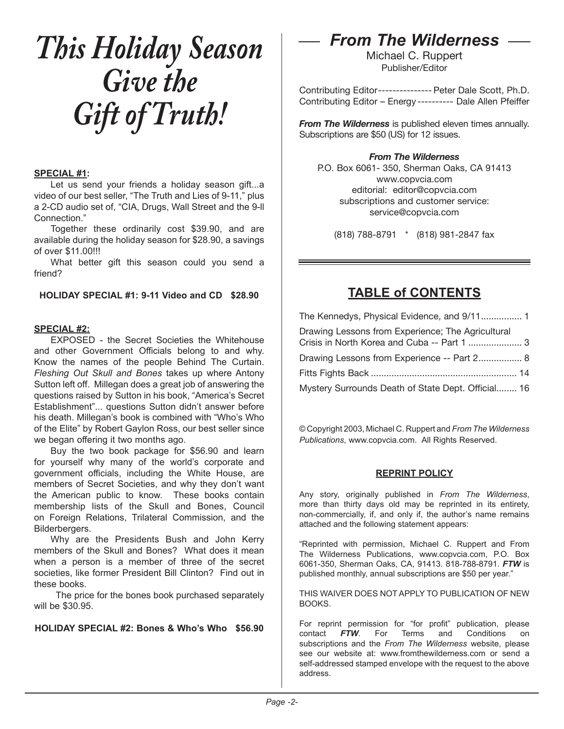## *This Holiday Season Give the Gift of Truth!*

### **SPECIAL #1:**

Let us send your friends a holiday season gift...a video of our best seller, "The Truth and Lies of 9-11," plus a 2-CD audio set of, "CIA, Drugs, Wall Street and the 9-ll Connection."

Together these ordinarily cost \$39.90, and are available during the holiday season for \$28.90, a savings of over \$11.00!!!

What better gift this season could you send a friend?

**HOLIDAY SPECIAL #1: 9-11 Video and CD \$28.90** 

## **SPECIAL #2:**

EXPOSED - the Secret Societies the Whitehouse and other Government Officials belong to and why. Know the names of the people Behind The Curtain. *Fleshing Out Skull and Bones* takes up where Antony Sutton left off. Millegan does a great job of answering the questions raised by Sutton in his book, "America's Secret Establishment"... questions Sutton didn't answer before his death. Millegan's book is combined with "Who's Who of the Elite" by Robert Gaylon Ross, our best seller since we began offering it two months ago.

Buy the two book package for \$56.90 and learn for yourself why many of the world's corporate and government officials, including the White House, are members of Secret Societies, and why they don't want the American public to know. These books contain membership lists of the Skull and Bones, Council on Foreign Relations, Trilateral Commission, and the Bilderbergers.

Why are the Presidents Bush and John Kerry members of the Skull and Bones? What does it mean when a person is a member of three of the secret societies, like former President Bill Clinton? Find out in these books.

 The price for the bones book purchased separately will be \$30.95.

## **HOLIDAY SPECIAL #2: Bones & Who's Who \$56.90**

## *From The Wilderness*

Michael C. Ruppert Publisher/Editor

Contributing Editor --------------- Peter Dale Scott, Ph.D. Contributing Editor – Energy ---------- Dale Allen Pfeiffer

*From The Wilderness* is published eleven times annually. Subscriptions are \$50 (US) for 12 issues.

## *From The Wilderness*

P.O. Box 6061- 350, Sherman Oaks, CA 91413 www.copvcia.com editorial: editor@copvcia.com subscriptions and customer service: service@copvcia.com

(818) 788-8791 \* (818) 981-2847 fax

## **TABLE of CONTENTS**

The Kennedys, Physical Evidence, and 9/11 ................ 1 Drawing Lessons from Experience; The Agricultural Crisis in North Korea and Cuba -- Part 1 ..................... 3 Drawing Lessons from Experience -- Part 2................. 8 Fitts Fights Back ......................................................... 14 Mystery Surrounds Death of State Dept. Official........ 16

© Copyright 2003, Michael C. Ruppert and *From The Wilderness Publications*, www.copvcia.com. All Rights Reserved.

## **REPRINT POLICY**

Any story, originally published in *From The Wilderness*, more than thirty days old may be reprinted in its entirety, non-commercially, if, and only if, the author's name remains attached and the following statement appears:

"Reprinted with permission, Michael C. Ruppert and From The Wilderness Publications, www.copvcia.com, P.O. Box 6061-350, Sherman Oaks, CA, 91413. 818-788-8791. *FTW* is published monthly, annual subscriptions are \$50 per year."

THIS WAIVER DOES NOT APPLY TO PUBLICATION OF NEW BOOKS.

For reprint permission for "for profit" publication, please contact *FTW*. For Terms and Conditions on subscriptions and the *From The Wilderness* website, please see our website at: www.fromthewilderness.com or send a self-addressed stamped envelope with the request to the above address.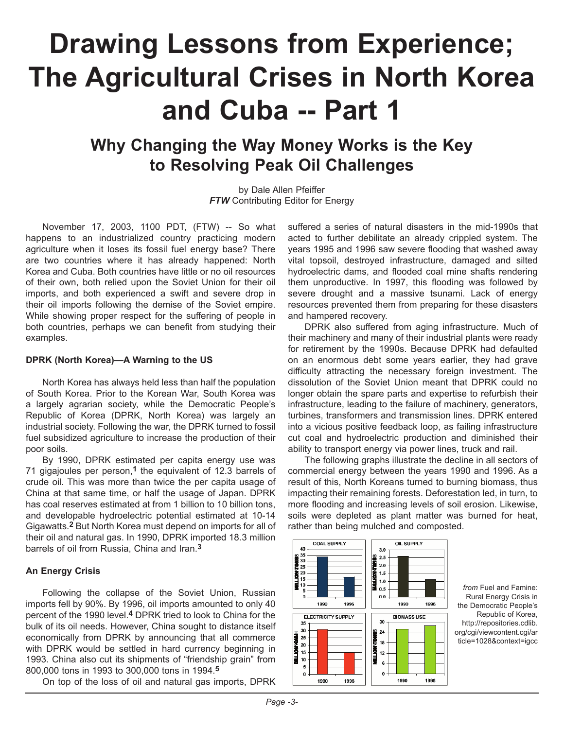## **Drawing Lessons from Experience; The Agricultural Crises in North Korea and Cuba -- Part 1**

## **Why Changing the Way Money Works is the Key to Resolving Peak Oil Challenges**

by Dale Allen Pfeiffer *FTW* Contributing Editor for Energy

November 17, 2003, 1100 PDT, (FTW) -- So what happens to an industrialized country practicing modern agriculture when it loses its fossil fuel energy base? There are two countries where it has already happened: North Korea and Cuba. Both countries have little or no oil resources of their own, both relied upon the Soviet Union for their oil imports, and both experienced a swift and severe drop in their oil imports following the demise of the Soviet empire. While showing proper respect for the suffering of people in both countries, perhaps we can benefit from studying their examples.

### **DPRK (North Korea)—A Warning to the US**

North Korea has always held less than half the population of South Korea. Prior to the Korean War, South Korea was a largely agrarian society, while the Democratic People's Republic of Korea (DPRK, North Korea) was largely an industrial society. Following the war, the DPRK turned to fossil fuel subsidized agriculture to increase the production of their poor soils.

By 1990, DPRK estimated per capita energy use was 71 gigajoules per person,**1** the equivalent of 12.3 barrels of crude oil. This was more than twice the per capita usage of China at that same time, or half the usage of Japan. DPRK has coal reserves estimated at from 1 billion to 10 billion tons, and developable hydroelectric potential estimated at 10-14 Gigawatts.**2** But North Korea must depend on imports for all of their oil and natural gas. In 1990, DPRK imported 18.3 million barrels of oil from Russia, China and Iran.**3**

## **An Energy Crisis**

Following the collapse of the Soviet Union, Russian imports fell by 90%. By 1996, oil imports amounted to only 40 percent of the 1990 level.**4** DPRK tried to look to China for the bulk of its oil needs. However, China sought to distance itself economically from DPRK by announcing that all commerce with DPRK would be settled in hard currency beginning in 1993. China also cut its shipments of "friendship grain" from 800,000 tons in 1993 to 300,000 tons in 1994.**5**

On top of the loss of oil and natural gas imports, DPRK

suffered a series of natural disasters in the mid-1990s that acted to further debilitate an already crippled system. The years 1995 and 1996 saw severe flooding that washed away vital topsoil, destroyed infrastructure, damaged and silted hydroelectric dams, and flooded coal mine shafts rendering them unproductive. In 1997, this flooding was followed by severe drought and a massive tsunami. Lack of energy resources prevented them from preparing for these disasters and hampered recovery.

DPRK also suffered from aging infrastructure. Much of their machinery and many of their industrial plants were ready for retirement by the 1990s. Because DPRK had defaulted on an enormous debt some years earlier, they had grave difficulty attracting the necessary foreign investment. The dissolution of the Soviet Union meant that DPRK could no longer obtain the spare parts and expertise to refurbish their infrastructure, leading to the failure of machinery, generators, turbines, transformers and transmission lines. DPRK entered into a vicious positive feedback loop, as failing infrastructure cut coal and hydroelectric production and diminished their ability to transport energy via power lines, truck and rail.

The following graphs illustrate the decline in all sectors of commercial energy between the years 1990 and 1996. As a result of this, North Koreans turned to burning biomass, thus impacting their remaining forests. Deforestation led, in turn, to more flooding and increasing levels of soil erosion. Likewise, soils were depleted as plant matter was burned for heat, rather than being mulched and composted.



*from* Fuel and Famine: Rural Energy Crisis in the Democratic People's Republic of Korea, http://repositories.cdlib. org/cgi/viewcontent.cgi/ar ticle=1028&context=igcc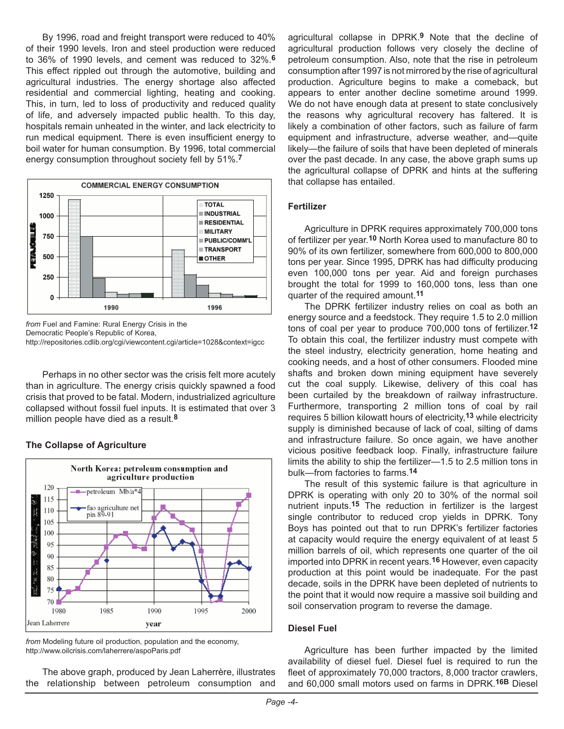By 1996, road and freight transport were reduced to 40% of their 1990 levels. Iron and steel production were reduced to 36% of 1990 levels, and cement was reduced to 32%.**6** This effect rippled out through the automotive, building and agricultural industries. The energy shortage also affected residential and commercial lighting, heating and cooking. This, in turn, led to loss of productivity and reduced quality of life, and adversely impacted public health. To this day, hospitals remain unheated in the winter, and lack electricity to run medical equipment. There is even insufficient energy to boil water for human consumption. By 1996, total commercial energy consumption throughout society fell by 51%.**7**



*from* Fuel and Famine: Rural Energy Crisis in the Democratic People's Republic of Korea, http://repositories.cdlib.org/cgi/viewcontent.cgi/article=1028&context=igcc

Perhaps in no other sector was the crisis felt more acutely than in agriculture. The energy crisis quickly spawned a food crisis that proved to be fatal. Modern, industrialized agriculture collapsed without fossil fuel inputs. It is estimated that over 3 million people have died as a result.**8**

#### **The Collapse of Agriculture**



*from* Modeling future oil production, population and the economy, http://www.oilcrisis.com/laherrere/aspoParis.pdf

The above graph, produced by Jean Laherrère, illustrates the relationship between petroleum consumption and agricultural collapse in DPRK.**9** Note that the decline of agricultural production follows very closely the decline of petroleum consumption. Also, note that the rise in petroleum consumption after 1997 is not mirrored by the rise of agricultural production. Agriculture begins to make a comeback, but appears to enter another decline sometime around 1999. We do not have enough data at present to state conclusively the reasons why agricultural recovery has faltered. It is likely a combination of other factors, such as failure of farm equipment and infrastructure, adverse weather, and—quite likely—the failure of soils that have been depleted of minerals over the past decade. In any case, the above graph sums up the agricultural collapse of DPRK and hints at the suffering that collapse has entailed.

## **Fertilizer**

Agriculture in DPRK requires approximately 700,000 tons of fertilizer per year.**10** North Korea used to manufacture 80 to 90% of its own fertilizer, somewhere from 600,000 to 800,000 tons per year. Since 1995, DPRK has had difficulty producing even 100,000 tons per year. Aid and foreign purchases brought the total for 1999 to 160,000 tons, less than one quarter of the required amount.**11**

The DPRK fertilizer industry relies on coal as both an energy source and a feedstock. They require 1.5 to 2.0 million tons of coal per year to produce 700,000 tons of fertilizer.**12** To obtain this coal, the fertilizer industry must compete with the steel industry, electricity generation, home heating and cooking needs, and a host of other consumers. Flooded mine shafts and broken down mining equipment have severely cut the coal supply. Likewise, delivery of this coal has been curtailed by the breakdown of railway infrastructure. Furthermore, transporting 2 million tons of coal by rail requires 5 billion kilowatt hours of electricity,**13** while electricity supply is diminished because of lack of coal, silting of dams and infrastructure failure. So once again, we have another vicious positive feedback loop. Finally, infrastructure failure limits the ability to ship the fertilizer—1.5 to 2.5 million tons in bulk—from factories to farms.**14**

The result of this systemic failure is that agriculture in DPRK is operating with only 20 to 30% of the normal soil nutrient inputs.**15** The reduction in fertilizer is the largest single contributor to reduced crop yields in DPRK. Tony Boys has pointed out that to run DPRK's fertilizer factories at capacity would require the energy equivalent of at least 5 million barrels of oil, which represents one quarter of the oil imported into DPRK in recent years.**16** However, even capacity production at this point would be inadequate. For the past decade, soils in the DPRK have been depleted of nutrients to the point that it would now require a massive soil building and soil conservation program to reverse the damage.

#### **Diesel Fuel**

Agriculture has been further impacted by the limited availability of diesel fuel. Diesel fuel is required to run the fleet of approximately 70,000 tractors, 8,000 tractor crawlers, and 60,000 small motors used on farms in DPRK.**16B** Diesel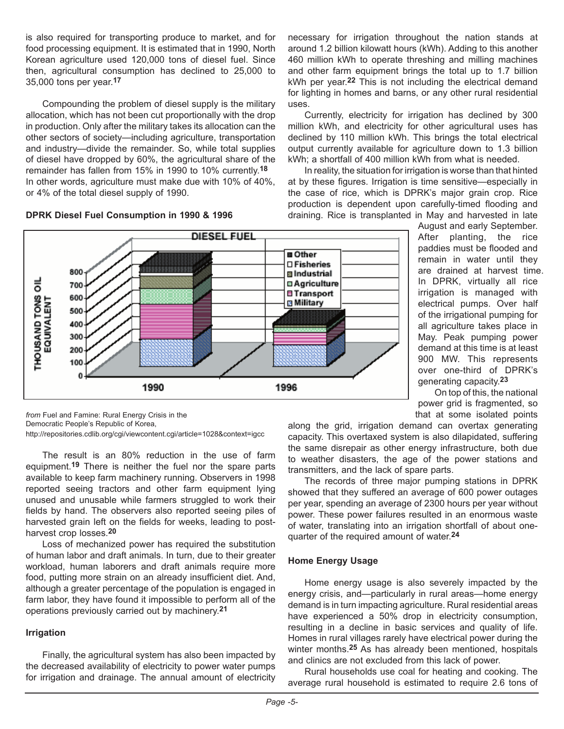is also required for transporting produce to market, and for food processing equipment. It is estimated that in 1990, North Korean agriculture used 120,000 tons of diesel fuel. Since then, agricultural consumption has declined to 25,000 to 35,000 tons per year.**17**

Compounding the problem of diesel supply is the military allocation, which has not been cut proportionally with the drop in production. Only after the military takes its allocation can the other sectors of society—including agriculture, transportation and industry—divide the remainder. So, while total supplies of diesel have dropped by 60%, the agricultural share of the remainder has fallen from 15% in 1990 to 10% currently.**<sup>18</sup>** In other words, agriculture must make due with 10% of 40%, or 4% of the total diesel supply of 1990.

## **DPRK Diesel Fuel Consumption in 1990 & 1996**

necessary for irrigation throughout the nation stands at around 1.2 billion kilowatt hours (kWh). Adding to this another 460 million kWh to operate threshing and milling machines and other farm equipment brings the total up to 1.7 billion kWh per year.**22** This is not including the electrical demand for lighting in homes and barns, or any other rural residential uses.

Currently, electricity for irrigation has declined by 300 million kWh, and electricity for other agricultural uses has declined by 110 million kWh. This brings the total electrical output currently available for agriculture down to 1.3 billion kWh; a shortfall of 400 million kWh from what is needed.

In reality, the situation for irrigation is worse than that hinted at by these figures. Irrigation is time sensitive—especially in the case of rice, which is DPRK's major grain crop. Rice production is dependent upon carefully-timed flooding and draining. Rice is transplanted in May and harvested in late

August and early September. After planting, the rice paddies must be flooded and remain in water until they are drained at harvest time. In DPRK, virtually all rice irrigation is managed with electrical pumps. Over half of the irrigational pumping for all agriculture takes place in May. Peak pumping power demand at this time is at least 900 MW. This represents over one-third of DPRK's generating capacity.**23**

On top of this, the national power grid is fragmented, so that at some isolated points

along the grid, irrigation demand can overtax generating capacity. This overtaxed system is also dilapidated, suffering the same disrepair as other energy infrastructure, both due to weather disasters, the age of the power stations and transmitters, and the lack of spare parts.

The records of three major pumping stations in DPRK showed that they suffered an average of 600 power outages per year, spending an average of 2300 hours per year without power. These power failures resulted in an enormous waste of water, translating into an irrigation shortfall of about onequarter of the required amount of water.**24**

#### **Home Energy Usage**

Home energy usage is also severely impacted by the energy crisis, and—particularly in rural areas—home energy demand is in turn impacting agriculture. Rural residential areas have experienced a 50% drop in electricity consumption, resulting in a decline in basic services and quality of life. Homes in rural villages rarely have electrical power during the winter months.**25** As has already been mentioned, hospitals and clinics are not excluded from this lack of power.

Rural households use coal for heating and cooking. The average rural household is estimated to require 2.6 tons of



*from* Fuel and Famine: Rural Energy Crisis in the Democratic People's Republic of Korea, http://repositories.cdlib.org/cgi/viewcontent.cgi/article=1028&context=igcc

The result is an 80% reduction in the use of farm equipment.**19** There is neither the fuel nor the spare parts available to keep farm machinery running. Observers in 1998 reported seeing tractors and other farm equipment lying unused and unusable while farmers struggled to work their fields by hand. The observers also reported seeing piles of harvested grain left on the fields for weeks, leading to postharvest crop losses.**20**

Loss of mechanized power has required the substitution of human labor and draft animals. In turn, due to their greater workload, human laborers and draft animals require more food, putting more strain on an already insufficient diet. And, although a greater percentage of the population is engaged in farm labor, they have found it impossible to perform all of the operations previously carried out by machinery.**21**

## **Irrigation**

Finally, the agricultural system has also been impacted by the decreased availability of electricity to power water pumps for irrigation and drainage. The annual amount of electricity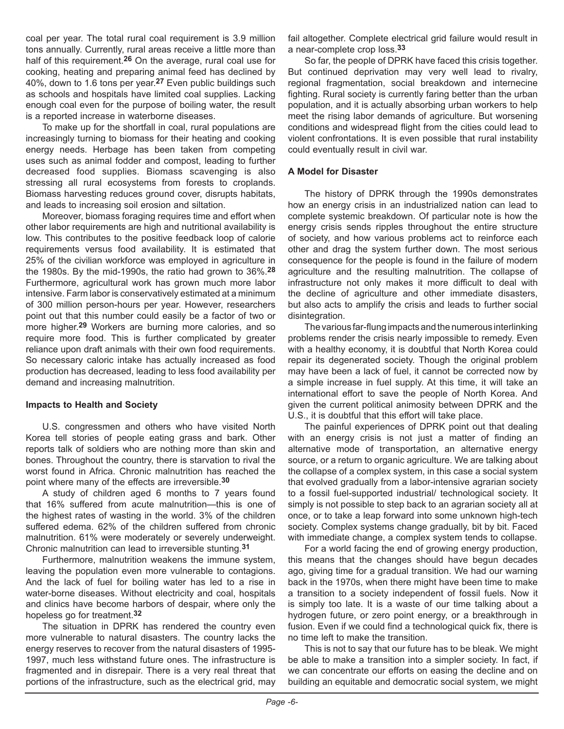coal per year. The total rural coal requirement is 3.9 million tons annually. Currently, rural areas receive a little more than half of this requirement.**26** On the average, rural coal use for cooking, heating and preparing animal feed has declined by 40%, down to 1.6 tons per year.**27** Even public buildings such as schools and hospitals have limited coal supplies. Lacking enough coal even for the purpose of boiling water, the result is a reported increase in waterborne diseases.

To make up for the shortfall in coal, rural populations are increasingly turning to biomass for their heating and cooking energy needs. Herbage has been taken from competing uses such as animal fodder and compost, leading to further decreased food supplies. Biomass scavenging is also stressing all rural ecosystems from forests to croplands. Biomass harvesting reduces ground cover, disrupts habitats, and leads to increasing soil erosion and siltation.

Moreover, biomass foraging requires time and effort when other labor requirements are high and nutritional availability is low. This contributes to the positive feedback loop of calorie requirements versus food availability. It is estimated that 25% of the civilian workforce was employed in agriculture in the 1980s. By the mid-1990s, the ratio had grown to 36%.**28** Furthermore, agricultural work has grown much more labor intensive. Farm labor is conservatively estimated at a minimum of 300 million person-hours per year. However, researchers point out that this number could easily be a factor of two or more higher.**29** Workers are burning more calories, and so require more food. This is further complicated by greater reliance upon draft animals with their own food requirements. So necessary caloric intake has actually increased as food production has decreased, leading to less food availability per demand and increasing malnutrition.

## **Impacts to Health and Society**

U.S. congressmen and others who have visited North Korea tell stories of people eating grass and bark. Other reports talk of soldiers who are nothing more than skin and bones. Throughout the country, there is starvation to rival the worst found in Africa. Chronic malnutrition has reached the point where many of the effects are irreversible.**30**

A study of children aged 6 months to 7 years found that 16% suffered from acute malnutrition—this is one of the highest rates of wasting in the world. 3% of the children suffered edema. 62% of the children suffered from chronic malnutrition. 61% were moderately or severely underweight. Chronic malnutrition can lead to irreversible stunting.**31**

Furthermore, malnutrition weakens the immune system, leaving the population even more vulnerable to contagions. And the lack of fuel for boiling water has led to a rise in water-borne diseases. Without electricity and coal, hospitals and clinics have become harbors of despair, where only the hopeless go for treatment.**32**

The situation in DPRK has rendered the country even more vulnerable to natural disasters. The country lacks the energy reserves to recover from the natural disasters of 1995- 1997, much less withstand future ones. The infrastructure is fragmented and in disrepair. There is a very real threat that portions of the infrastructure, such as the electrical grid, may fail altogether. Complete electrical grid failure would result in a near-complete crop loss.**33**

So far, the people of DPRK have faced this crisis together. But continued deprivation may very well lead to rivalry, regional fragmentation, social breakdown and internecine fighting. Rural society is currently faring better than the urban population, and it is actually absorbing urban workers to help meet the rising labor demands of agriculture. But worsening conditions and widespread flight from the cities could lead to violent confrontations. It is even possible that rural instability could eventually result in civil war.

## **A Model for Disaster**

The history of DPRK through the 1990s demonstrates how an energy crisis in an industrialized nation can lead to complete systemic breakdown. Of particular note is how the energy crisis sends ripples throughout the entire structure of society, and how various problems act to reinforce each other and drag the system further down. The most serious consequence for the people is found in the failure of modern agriculture and the resulting malnutrition. The collapse of infrastructure not only makes it more difficult to deal with the decline of agriculture and other immediate disasters, but also acts to amplify the crisis and leads to further social disintegration.

The various far-flung impacts and the numerous interlinking problems render the crisis nearly impossible to remedy. Even with a healthy economy, it is doubtful that North Korea could repair its degenerated society. Though the original problem may have been a lack of fuel, it cannot be corrected now by a simple increase in fuel supply. At this time, it will take an international effort to save the people of North Korea. And given the current political animosity between DPRK and the U.S., it is doubtful that this effort will take place.

The painful experiences of DPRK point out that dealing with an energy crisis is not just a matter of finding an alternative mode of transportation, an alternative energy source, or a return to organic agriculture. We are talking about the collapse of a complex system, in this case a social system that evolved gradually from a labor-intensive agrarian society to a fossil fuel-supported industrial/ technological society. It simply is not possible to step back to an agrarian society all at once, or to take a leap forward into some unknown high-tech society. Complex systems change gradually, bit by bit. Faced with immediate change, a complex system tends to collapse.

For a world facing the end of growing energy production, this means that the changes should have begun decades ago, giving time for a gradual transition. We had our warning back in the 1970s, when there might have been time to make a transition to a society independent of fossil fuels. Now it is simply too late. It is a waste of our time talking about a hydrogen future, or zero point energy, or a breakthrough in fusion. Even if we could find a technological quick fix, there is no time left to make the transition.

This is not to say that our future has to be bleak. We might be able to make a transition into a simpler society. In fact, if we can concentrate our efforts on easing the decline and on building an equitable and democratic social system, we might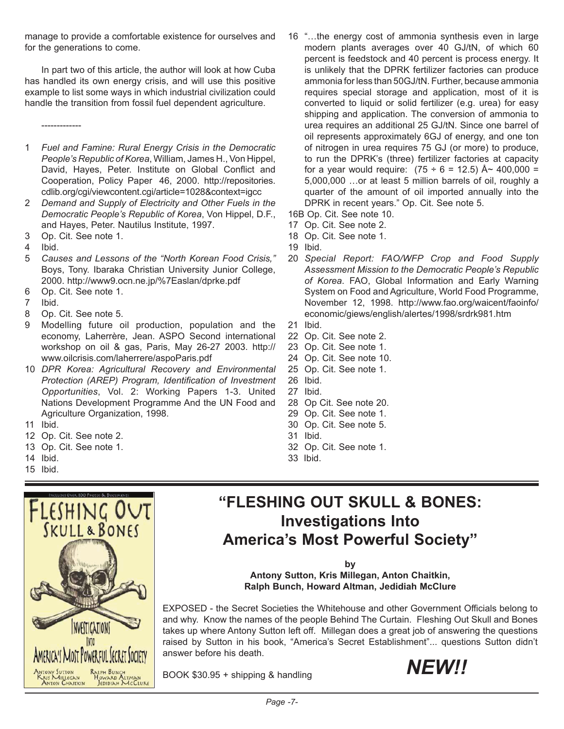manage to provide a comfortable existence for ourselves and for the generations to come.

In part two of this article, the author will look at how Cuba has handled its own energy crisis, and will use this positive example to list some ways in which industrial civilization could handle the transition from fossil fuel dependent agriculture.

- -------------
- 1 *Fuel and Famine: Rural Energy Crisis in the Democratic People's Republic of Korea*, William, James H., Von Hippel, David, Hayes, Peter. Institute on Global Conflict and Cooperation, Policy Paper 46, 2000. http://repositories. cdlib.org/cgi/viewcontent.cgi/article=1028&context=igcc
- 2 *Demand and Supply of Electricity and Other Fuels in the Democratic People's Republic of Korea*, Von Hippel, D.F., and Hayes, Peter. Nautilus Institute, 1997.
- 3 Op. Cit. See note 1.
- 4 Ibid.
- 5 *Causes and Lessons of the "North Korean Food Crisis,"* Boys, Tony. Ibaraka Christian University Junior College, 2000. http://www9.ocn.ne.jp/%7Easlan/dprke.pdf
- 6 Op. Cit. See note 1.
- 7 Ibid.
- 8 Op. Cit. See note 5.
- 9 Modelling future oil production, population and the economy, Laherrère, Jean. ASPO Second international workshop on oil & gas, Paris, May 26-27 2003. http:// www.oilcrisis.com/laherrere/aspoParis.pdf
- 10 *DPR Korea: Agricultural Recovery and Environmental Protection (AREP) Program, Identification of Investment Opportunities*, Vol. 2: Working Papers 1-3. United Nations Development Programme And the UN Food and Agriculture Organization, 1998.
- 11 Ibid.
- 12 Op. Cit. See note 2.
- 13 Op. Cit. See note 1.
- 14 Ibid.
- 15 Ibid.



**"FLESHING OUT SKULL & BONES: Investigations Into America's Most Powerful Society"** 

**by**

**Antony Sutton, Kris Millegan, Anton Chaitkin, Ralph Bunch, Howard Altman, Jedidiah McClure** 

EXPOSED - the Secret Societies the Whitehouse and other Government Officials belong to and why. Know the names of the people Behind The Curtain. Fleshing Out Skull and Bones takes up where Antony Sutton left off. Millegan does a great job of answering the questions raised by Sutton in his book, "America's Secret Establishment"... questions Sutton didn't answer before his death.

BOOK \$30.95 + shipping & handling  $NEW!$ 



16 "…the energy cost of ammonia synthesis even in large modern plants averages over 40 GJ/tN, of which 60 percent is feedstock and 40 percent is process energy. It is unlikely that the DPRK fertilizer factories can produce ammonia for less than 50GJ/tN. Further, because ammonia requires special storage and application, most of it is converted to liquid or solid fertilizer (e.g. urea) for easy shipping and application. The conversion of ammonia to urea requires an additional 25 GJ/tN. Since one barrel of oil represents approximately 6GJ of energy, and one ton of nitrogen in urea requires 75 GJ (or more) to produce, to run the DPRK's (three) fertilizer factories at capacity for a year would require:  $(75 \div 6 = 12.5)$  Å ~ 400,000 = 5,000,000 …or at least 5 million barrels of oil, roughly a quarter of the amount of oil imported annually into the DPRK in recent years." Op. Cit. See note 5.

16B Op. Cit. See note 10.

- 17 Op. Cit. See note 2.
- 18 Op. Cit. See note 1.
- 19 Ibid.
- 20 *Special Report: FAO/WFP Crop and Food Supply Assessment Mission to the Democratic People's Republic of Korea*. FAO, Global Information and Early Warning System on Food and Agriculture, World Food Programme, November 12, 1998. http://www.fao.org/waicent/faoinfo/ economic/giews/english/alertes/1998/srdrk981.htm
- 21 Ibid.
- 22 Op. Cit. See note 2.
- 23 Op. Cit. See note 1.
- 24 Op. Cit. See note 10.
- 25 Op. Cit. See note 1.
- 26 Ibid.
- 27 Ibid.
- 28 Op Cit. See note 20.
- 29 Op. Cit. See note 1.
- 30 Op. Cit. See note 5.
- 31 Ibid.
- 32 Op. Cit. See note 1.
- 33 Ibid.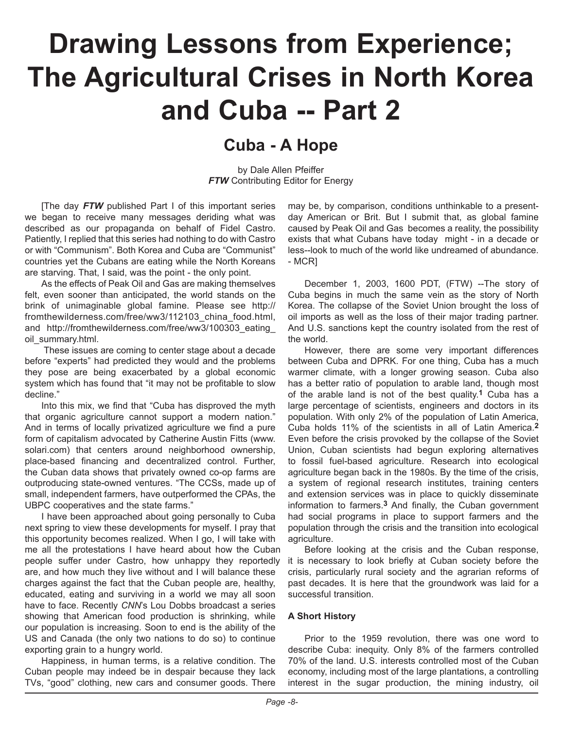## **Drawing Lessons from Experience; The Agricultural Crises in North Korea and Cuba -- Part 2**

## **Cuba - A Hope**

by Dale Allen Pfeiffer **FTW** Contributing Editor for Energy

[The day *FTW* published Part I of this important series we began to receive many messages deriding what was described as our propaganda on behalf of Fidel Castro. Patiently, I replied that this series had nothing to do with Castro or with "Communism". Both Korea and Cuba are "Communist" countries yet the Cubans are eating while the North Koreans are starving. That, I said, was the point - the only point.

As the effects of Peak Oil and Gas are making themselves felt, even sooner than anticipated, the world stands on the brink of unimaginable global famine. Please see http:// fromthewilderness.com/free/ww3/112103\_china\_food.html, and http://fromthewilderness.com/free/ww3/100303 eating oil summary.html.

 These issues are coming to center stage about a decade before "experts" had predicted they would and the problems they pose are being exacerbated by a global economic system which has found that "it may not be profitable to slow decline."

Into this mix, we find that "Cuba has disproved the myth that organic agriculture cannot support a modern nation." And in terms of locally privatized agriculture we find a pure form of capitalism advocated by Catherine Austin Fitts (www. solari.com) that centers around neighborhood ownership, place-based financing and decentralized control. Further, the Cuban data shows that privately owned co-op farms are outproducing state-owned ventures. "The CCSs, made up of small, independent farmers, have outperformed the CPAs, the UBPC cooperatives and the state farms."

I have been approached about going personally to Cuba next spring to view these developments for myself. I pray that this opportunity becomes realized. When I go, I will take with me all the protestations I have heard about how the Cuban people suffer under Castro, how unhappy they reportedly are, and how much they live without and I will balance these charges against the fact that the Cuban people are, healthy, educated, eating and surviving in a world we may all soon have to face. Recently *CNN*'s Lou Dobbs broadcast a series showing that American food production is shrinking, while our population is increasing. Soon to end is the ability of the US and Canada (the only two nations to do so) to continue exporting grain to a hungry world.

Happiness, in human terms, is a relative condition. The Cuban people may indeed be in despair because they lack TVs, "good" clothing, new cars and consumer goods. There may be, by comparison, conditions unthinkable to a presentday American or Brit. But I submit that, as global famine caused by Peak Oil and Gas becomes a reality, the possibility exists that what Cubans have today might - in a decade or less--look to much of the world like undreamed of abundance. - MCR]

December 1, 2003, 1600 PDT, (FTW) --The story of Cuba begins in much the same vein as the story of North Korea. The collapse of the Soviet Union brought the loss of oil imports as well as the loss of their major trading partner. And U.S. sanctions kept the country isolated from the rest of the world.

However, there are some very important differences between Cuba and DPRK. For one thing, Cuba has a much warmer climate, with a longer growing season. Cuba also has a better ratio of population to arable land, though most of the arable land is not of the best quality.**1** Cuba has a large percentage of scientists, engineers and doctors in its population. With only 2% of the population of Latin America, Cuba holds 11% of the scientists in all of Latin America.**2**  Even before the crisis provoked by the collapse of the Soviet Union, Cuban scientists had begun exploring alternatives to fossil fuel-based agriculture. Research into ecological agriculture began back in the 1980s. By the time of the crisis, a system of regional research institutes, training centers and extension services was in place to quickly disseminate information to farmers.**3** And finally, the Cuban government had social programs in place to support farmers and the population through the crisis and the transition into ecological agriculture.

Before looking at the crisis and the Cuban response, it is necessary to look briefly at Cuban society before the crisis, particularly rural society and the agrarian reforms of past decades. It is here that the groundwork was laid for a successful transition.

## **A Short History**

Prior to the 1959 revolution, there was one word to describe Cuba: inequity. Only 8% of the farmers controlled 70% of the land. U.S. interests controlled most of the Cuban economy, including most of the large plantations, a controlling interest in the sugar production, the mining industry, oil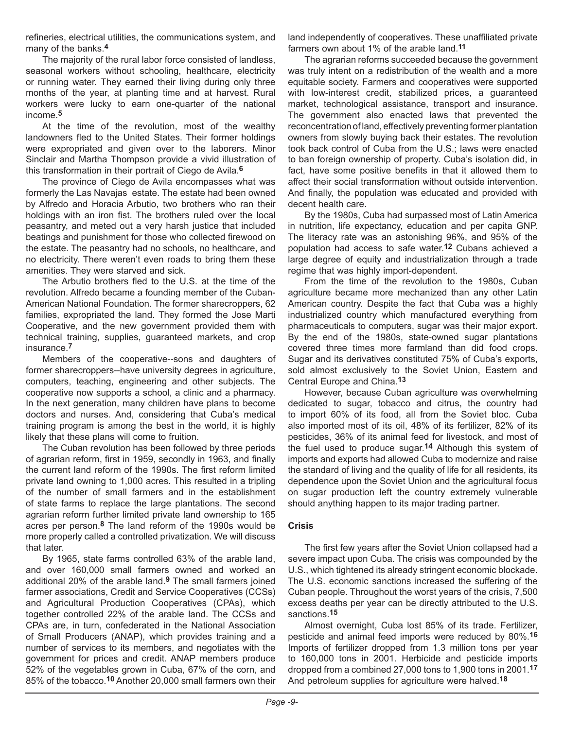refineries, electrical utilities, the communications system, and many of the banks.**4**

The majority of the rural labor force consisted of landless, seasonal workers without schooling, healthcare, electricity or running water. They earned their living during only three months of the year, at planting time and at harvest. Rural workers were lucky to earn one-quarter of the national income.**5**

At the time of the revolution, most of the wealthy landowners fled to the United States. Their former holdings were expropriated and given over to the laborers. Minor Sinclair and Martha Thompson provide a vivid illustration of this transformation in their portrait of Ciego de Avila.**6**

The province of Ciego de Avila encompasses what was formerly the Las Navajas estate. The estate had been owned by Alfredo and Horacia Arbutio, two brothers who ran their holdings with an iron fist. The brothers ruled over the local peasantry, and meted out a very harsh justice that included beatings and punishment for those who collected firewood on the estate. The peasantry had no schools, no healthcare, and no electricity. There weren't even roads to bring them these amenities. They were starved and sick.

The Arbutio brothers fled to the U.S. at the time of the revolution. Alfredo became a founding member of the Cuban-American National Foundation. The former sharecroppers, 62 families, expropriated the land. They formed the Jose Marti Cooperative, and the new government provided them with technical training, supplies, guaranteed markets, and crop insurance.**7**

Members of the cooperative--sons and daughters of former sharecroppers--have university degrees in agriculture, computers, teaching, engineering and other subjects. The cooperative now supports a school, a clinic and a pharmacy. In the next generation, many children have plans to become doctors and nurses. And, considering that Cuba's medical training program is among the best in the world, it is highly likely that these plans will come to fruition.

The Cuban revolution has been followed by three periods of agrarian reform, first in 1959, secondly in 1963, and finally the current land reform of the 1990s. The first reform limited private land owning to 1,000 acres. This resulted in a tripling of the number of small farmers and in the establishment of state farms to replace the large plantations. The second agrarian reform further limited private land ownership to 165 acres per person.**8** The land reform of the 1990s would be more properly called a controlled privatization. We will discuss that later.

By 1965, state farms controlled 63% of the arable land, and over 160,000 small farmers owned and worked an additional 20% of the arable land.**9** The small farmers joined farmer associations, Credit and Service Cooperatives (CCSs) and Agricultural Production Cooperatives (CPAs), which together controlled 22% of the arable land. The CCSs and CPAs are, in turn, confederated in the National Association of Small Producers (ANAP), which provides training and a number of services to its members, and negotiates with the government for prices and credit. ANAP members produce 52% of the vegetables grown in Cuba, 67% of the corn, and 85% of the tobacco.**10** Another 20,000 small farmers own their

land independently of cooperatives. These unaffiliated private farmers own about 1% of the arable land.**11**

The agrarian reforms succeeded because the government was truly intent on a redistribution of the wealth and a more equitable society. Farmers and cooperatives were supported with low-interest credit, stabilized prices, a guaranteed market, technological assistance, transport and insurance. The government also enacted laws that prevented the reconcentration of land, effectively preventing former plantation owners from slowly buying back their estates. The revolution took back control of Cuba from the U.S.; laws were enacted to ban foreign ownership of property. Cuba's isolation did, in fact, have some positive benefits in that it allowed them to affect their social transformation without outside intervention. And finally, the population was educated and provided with decent health care.

By the 1980s, Cuba had surpassed most of Latin America in nutrition, life expectancy, education and per capita GNP. The literacy rate was an astonishing 96%, and 95% of the population had access to safe water.**12** Cubans achieved a large degree of equity and industrialization through a trade regime that was highly import-dependent.

From the time of the revolution to the 1980s, Cuban agriculture became more mechanized than any other Latin American country. Despite the fact that Cuba was a highly industrialized country which manufactured everything from pharmaceuticals to computers, sugar was their major export. By the end of the 1980s, state-owned sugar plantations covered three times more farmland than did food crops. Sugar and its derivatives constituted 75% of Cuba's exports, sold almost exclusively to the Soviet Union, Eastern and Central Europe and China.**13** 

However, because Cuban agriculture was overwhelming dedicated to sugar, tobacco and citrus, the country had to import 60% of its food, all from the Soviet bloc. Cuba also imported most of its oil, 48% of its fertilizer, 82% of its pesticides, 36% of its animal feed for livestock, and most of the fuel used to produce sugar.**14** Although this system of imports and exports had allowed Cuba to modernize and raise the standard of living and the quality of life for all residents, its dependence upon the Soviet Union and the agricultural focus on sugar production left the country extremely vulnerable should anything happen to its major trading partner.

## **Crisis**

The first few years after the Soviet Union collapsed had a severe impact upon Cuba. The crisis was compounded by the U.S., which tightened its already stringent economic blockade. The U.S. economic sanctions increased the suffering of the Cuban people. Throughout the worst years of the crisis, 7,500 excess deaths per year can be directly attributed to the U.S. sanctions.**15**

Almost overnight, Cuba lost 85% of its trade. Fertilizer, pesticide and animal feed imports were reduced by 80%.**16**  Imports of fertilizer dropped from 1.3 million tons per year to 160,000 tons in 2001. Herbicide and pesticide imports dropped from a combined 27,000 tons to 1,900 tons in 2001.**17** And petroleum supplies for agriculture were halved.**18**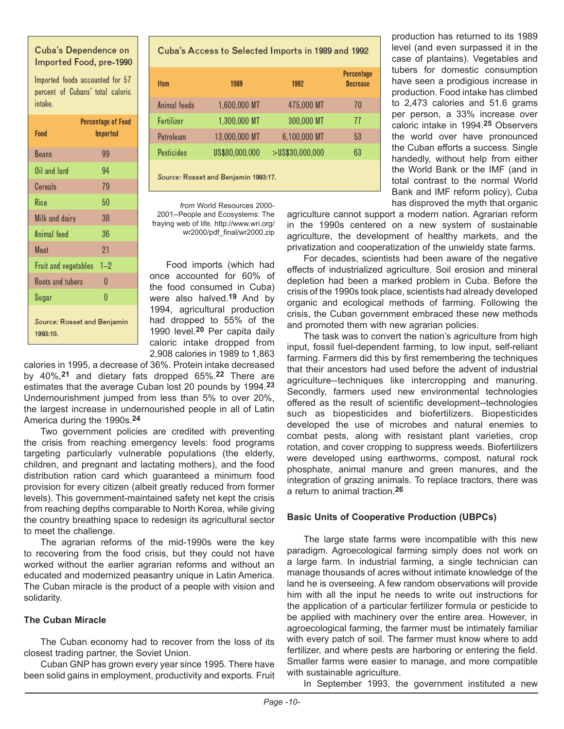## Cuba's Dependence on Imported Food, pre-1990

Imported foods accounted for 57 percent of Cubans' total caloric intake.

| Food                                    | <b>Percentage of Food</b><br>Imported |  |
|-----------------------------------------|---------------------------------------|--|
| Beans                                   | 99                                    |  |
| Oil and lard                            | 94                                    |  |
| Cereals                                 | 79                                    |  |
| Rice                                    | 50                                    |  |
| Milk and dairy                          | 38                                    |  |
| Animal feed                             | 36                                    |  |
| Meat                                    | 21                                    |  |
| Fruit and vegetables                    | $1 - 2$                               |  |
| Roots and tubers                        | $\theta$                              |  |
| Sugar                                   | $\theta$                              |  |
| Source: Rosset and Benjamin<br>1993:10. |                                       |  |

Cuba's Access to Selected Imports in 1989 and 1992

| <b>Item</b>                          | 1989           | 1992               | Percentage<br><b>Decrease</b> |
|--------------------------------------|----------------|--------------------|-------------------------------|
| Animal feeds                         | 1,600,000 MT   | 475,000 MT         | 70                            |
| Fertilizer                           | 1,300,000 MT   | 300,000 MT         | 77                            |
| Petroleum                            | 13,000,000 MT  | 6,100,000 MT       | 53                            |
| Pesticides                           | US\$80,000,000 | $>$ US\$30,000,000 | 63                            |
| Source: Rosset and Benjamin 1993:17. |                |                    |                               |

*from* World Resources 2000- 2001--People and Ecosystems: The fraying web of life. http://www.wri.org/ wr2000/pdf\_final/wr2000.zip

Food imports (which had once accounted for 60% of the food consumed in Cuba) were also halved.**19** And by 1994, agricultural production had dropped to 55% of the 1990 level.**20** Per capita daily caloric intake dropped from 2,908 calories in 1989 to 1,863

calories in 1995, a decrease of 36%. Protein intake decreased by 40%,**21** and dietary fats dropped 65%.**22** There are estimates that the average Cuban lost 20 pounds by 1994.**23** Undernourishment jumped from less than 5% to over 20%, the largest increase in undernourished people in all of Latin America during the 1990s.**24**

Two government policies are credited with preventing the crisis from reaching emergency levels: food programs targeting particularly vulnerable populations (the elderly, children, and pregnant and lactating mothers), and the food distribution ration card which guaranteed a minimum food provision for every citizen (albeit greatly reduced from former levels). This government-maintained safety net kept the crisis from reaching depths comparable to North Korea, while giving the country breathing space to redesign its agricultural sector to meet the challenge.

The agrarian reforms of the mid-1990s were the key to recovering from the food crisis, but they could not have worked without the earlier agrarian reforms and without an educated and modernized peasantry unique in Latin America. The Cuban miracle is the product of a people with vision and solidarity.

## **The Cuban Miracle**

The Cuban economy had to recover from the loss of its closest trading partner, the Soviet Union.

Cuban GNP has grown every year since 1995. There have been solid gains in employment, productivity and exports. Fruit

production has returned to its 1989 level (and even surpassed it in the case of plantains). Vegetables and tubers for domestic consumption have seen a prodigious increase in production. Food intake has climbed to 2,473 calories and 51.6 grams per person, a 33% increase over caloric intake in 1994.**25** Observers the world over have pronounced the Cuban efforts a success. Single handedly, without help from either the World Bank or the IMF (and in total contrast to the normal World Bank and IMF reform policy), Cuba has disproved the myth that organic

agriculture cannot support a modern nation. Agrarian reform in the 1990s centered on a new system of sustainable agriculture, the development of healthy markets, and the privatization and cooperatization of the unwieldy state farms.

For decades, scientists had been aware of the negative effects of industrialized agriculture. Soil erosion and mineral depletion had been a marked problem in Cuba. Before the crisis of the 1990s took place, scientists had already developed organic and ecological methods of farming. Following the crisis, the Cuban government embraced these new methods and promoted them with new agrarian policies.

The task was to convert the nation's agriculture from high input, fossil fuel-dependent farming, to low input, self-reliant farming. Farmers did this by first remembering the techniques that their ancestors had used before the advent of industrial agriculture--techniques like intercropping and manuring. Secondly, farmers used new environmental technologies offered as the result of scientific development--technologies such as biopesticides and biofertilizers. Biopesticides developed the use of microbes and natural enemies to combat pests, along with resistant plant varieties, crop rotation, and cover cropping to suppress weeds. Biofertilizers were developed using earthworms, compost, natural rock phosphate, animal manure and green manures, and the integration of grazing animals. To replace tractors, there was a return to animal traction.**26**

## **Basic Units of Cooperative Production (UBPCs)**

The large state farms were incompatible with this new paradigm. Agroecological farming simply does not work on a large farm. In industrial farming, a single technician can manage thousands of acres without intimate knowledge of the land he is overseeing. A few random observations will provide him with all the input he needs to write out instructions for the application of a particular fertilizer formula or pesticide to be applied with machinery over the entire area. However, in agroecological farming, the farmer must be intimately familiar with every patch of soil. The farmer must know where to add fertilizer, and where pests are harboring or entering the field. Smaller farms were easier to manage, and more compatible with sustainable agriculture.

In September 1993, the government instituted a new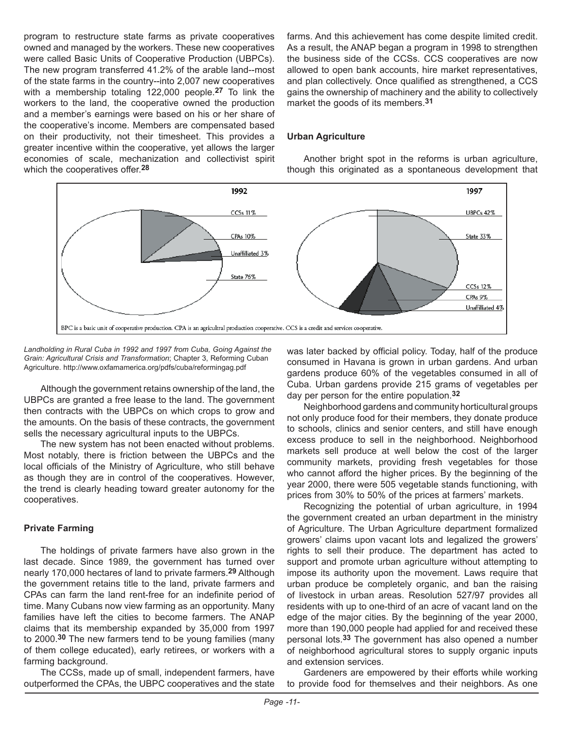program to restructure state farms as private cooperatives owned and managed by the workers. These new cooperatives were called Basic Units of Cooperative Production (UBPCs). The new program transferred 41.2% of the arable land--most of the state farms in the country--into 2,007 new cooperatives with a membership totaling 122,000 people.**27** To link the workers to the land, the cooperative owned the production and a member's earnings were based on his or her share of the cooperative's income. Members are compensated based on their productivity, not their timesheet. This provides a greater incentive within the cooperative, yet allows the larger economies of scale, mechanization and collectivist spirit which the cooperatives offer.**28**

farms. And this achievement has come despite limited credit. As a result, the ANAP began a program in 1998 to strengthen the business side of the CCSs. CCS cooperatives are now allowed to open bank accounts, hire market representatives, and plan collectively. Once qualified as strengthened, a CCS gains the ownership of machinery and the ability to collectively market the goods of its members.**31**

## **Urban Agriculture**

Another bright spot in the reforms is urban agriculture, though this originated as a spontaneous development that



*Landholding in Rural Cuba in 1992 and 1997 from Cuba, Going Against the Grain: Agricultural Crisis and Transformation*; Chapter 3, Reforming Cuban Agriculture. http://www.oxfamamerica.org/pdfs/cuba/reformingag.pdf

Although the government retains ownership of the land, the UBPCs are granted a free lease to the land. The government then contracts with the UBPCs on which crops to grow and the amounts. On the basis of these contracts, the government sells the necessary agricultural inputs to the UBPCs.

The new system has not been enacted without problems. Most notably, there is friction between the UBPCs and the local officials of the Ministry of Agriculture, who still behave as though they are in control of the cooperatives. However, the trend is clearly heading toward greater autonomy for the cooperatives.

## **Private Farming**

The holdings of private farmers have also grown in the last decade. Since 1989, the government has turned over nearly 170,000 hectares of land to private farmers.**29** Although the government retains title to the land, private farmers and CPAs can farm the land rent-free for an indefinite period of time. Many Cubans now view farming as an opportunity. Many families have left the cities to become farmers. The ANAP claims that its membership expanded by 35,000 from 1997 to 2000.**30** The new farmers tend to be young families (many of them college educated), early retirees, or workers with a farming background.

The CCSs, made up of small, independent farmers, have outperformed the CPAs, the UBPC cooperatives and the state was later backed by official policy. Today, half of the produce consumed in Havana is grown in urban gardens. And urban gardens produce 60% of the vegetables consumed in all of Cuba. Urban gardens provide 215 grams of vegetables per day per person for the entire population.**32**

Neighborhood gardens and community horticultural groups not only produce food for their members, they donate produce to schools, clinics and senior centers, and still have enough excess produce to sell in the neighborhood. Neighborhood markets sell produce at well below the cost of the larger community markets, providing fresh vegetables for those who cannot afford the higher prices. By the beginning of the year 2000, there were 505 vegetable stands functioning, with prices from 30% to 50% of the prices at farmers' markets.

Recognizing the potential of urban agriculture, in 1994 the government created an urban department in the ministry of Agriculture. The Urban Agriculture department formalized growers' claims upon vacant lots and legalized the growers' rights to sell their produce. The department has acted to support and promote urban agriculture without attempting to impose its authority upon the movement. Laws require that urban produce be completely organic, and ban the raising of livestock in urban areas. Resolution 527/97 provides all residents with up to one-third of an acre of vacant land on the edge of the major cities. By the beginning of the year 2000, more than 190,000 people had applied for and received these personal lots.**33** The government has also opened a number of neighborhood agricultural stores to supply organic inputs and extension services.

Gardeners are empowered by their efforts while working to provide food for themselves and their neighbors. As one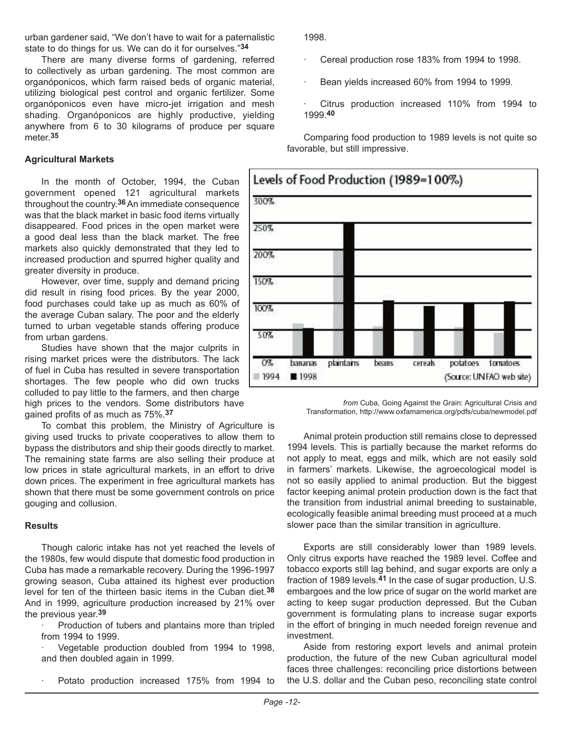urban gardener said, "We don't have to wait for a paternalistic state to do things for us. We can do it for ourselves."**34**

There are many diverse forms of gardening, referred to collectively as urban gardening. The most common are organóponicos, which farm raised beds of organic material, utilizing biological pest control and organic fertilizer. Some organóponicos even have micro-jet irrigation and mesh shading. Organóponicos are highly productive, yielding anywhere from 6 to 30 kilograms of produce per square meter.**35**

## **Agricultural Markets**

In the month of October, 1994, the Cuban government opened 121 agricultural markets throughout the country.**36** An immediate consequence was that the black market in basic food items virtually disappeared. Food prices in the open market were a good deal less than the black market. The free markets also quickly demonstrated that they led to increased production and spurred higher quality and greater diversity in produce.

However, over time, supply and demand pricing did result in rising food prices. By the year 2000, food purchases could take up as much as 60% of the average Cuban salary. The poor and the elderly turned to urban vegetable stands offering produce from urban gardens.

Studies have shown that the major culprits in rising market prices were the distributors. The lack of fuel in Cuba has resulted in severe transportation shortages. The few people who did own trucks colluded to pay little to the farmers, and then charge high prices to the vendors. Some distributors have gained profits of as much as 75%.**37**

To combat this problem, the Ministry of Agriculture is giving used trucks to private cooperatives to allow them to bypass the distributors and ship their goods directly to market. The remaining state farms are also selling their produce at low prices in state agricultural markets, in an effort to drive down prices. The experiment in free agricultural markets has shown that there must be some government controls on price gouging and collusion.

#### **Results**

Though caloric intake has not yet reached the levels of the 1980s, few would dispute that domestic food production in Cuba has made a remarkable recovery. During the 1996-1997 growing season, Cuba attained its highest ever production level for ten of the thirteen basic items in the Cuban diet.**38** And in 1999, agriculture production increased by 21% over the previous year.**39**

Production of tubers and plantains more than tripled from 1994 to 1999.

Vegetable production doubled from 1994 to 1998, and then doubled again in 1999.

Potato production increased 175% from 1994 to

1998.

- Cereal production rose 183% from 1994 to 1998.
- Bean yields increased 60% from 1994 to 1999.
- Citrus production increased 110% from 1994 to 1999.**40**

Comparing food production to 1989 levels is not quite so favorable, but still impressive.



*from* Cuba, Going Against the Grain: Agricultural Crisis and Transformation, http://www.oxfamamerica.org/pdfs/cuba/newmodel.pdf

Animal protein production still remains close to depressed 1994 levels. This is partially because the market reforms do not apply to meat, eggs and milk, which are not easily sold in farmers' markets. Likewise, the agroecological model is not so easily applied to animal production. But the biggest factor keeping animal protein production down is the fact that the transition from industrial animal breeding to sustainable, ecologically feasible animal breeding must proceed at a much slower pace than the similar transition in agriculture.

Exports are still considerably lower than 1989 levels. Only citrus exports have reached the 1989 level. Coffee and tobacco exports still lag behind, and sugar exports are only a fraction of 1989 levels.**41** In the case of sugar production, U.S. embargoes and the low price of sugar on the world market are acting to keep sugar production depressed. But the Cuban government is formulating plans to increase sugar exports in the effort of bringing in much needed foreign revenue and investment.

Aside from restoring export levels and animal protein production, the future of the new Cuban agricultural model faces three challenges: reconciling price distortions between the U.S. dollar and the Cuban peso, reconciling state control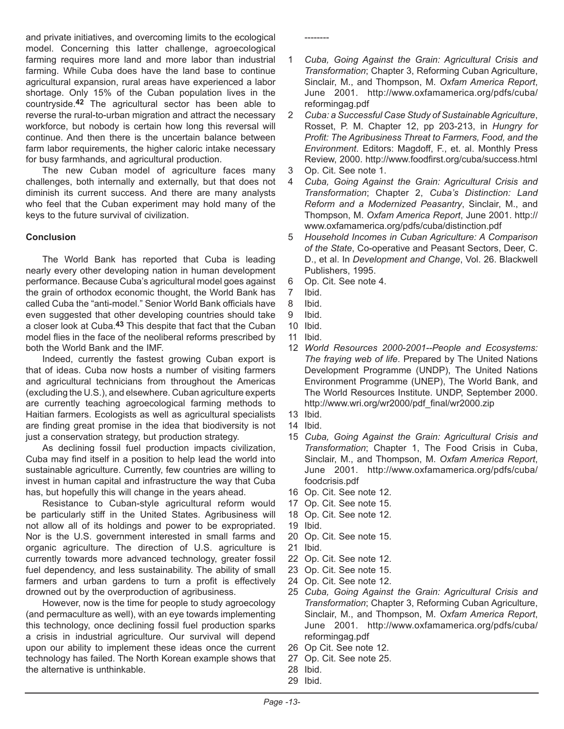and private initiatives, and overcoming limits to the ecological model. Concerning this latter challenge, agroecological farming requires more land and more labor than industrial farming. While Cuba does have the land base to continue agricultural expansion, rural areas have experienced a labor shortage. Only 15% of the Cuban population lives in the countryside.**42** The agricultural sector has been able to reverse the rural-to-urban migration and attract the necessary workforce, but nobody is certain how long this reversal will continue. And then there is the uncertain balance between farm labor requirements, the higher caloric intake necessary for busy farmhands, and agricultural production.

The new Cuban model of agriculture faces many challenges, both internally and externally, but that does not diminish its current success. And there are many analysts who feel that the Cuban experiment may hold many of the keys to the future survival of civilization.

## **Conclusion**

The World Bank has reported that Cuba is leading nearly every other developing nation in human development performance. Because Cuba's agricultural model goes against the grain of orthodox economic thought, the World Bank has called Cuba the "anti-model." Senior World Bank officials have even suggested that other developing countries should take a closer look at Cuba.**43** This despite that fact that the Cuban model flies in the face of the neoliberal reforms prescribed by both the World Bank and the IMF.

Indeed, currently the fastest growing Cuban export is that of ideas. Cuba now hosts a number of visiting farmers and agricultural technicians from throughout the Americas (excluding the U.S.), and elsewhere. Cuban agriculture experts are currently teaching agroecological farming methods to Haitian farmers. Ecologists as well as agricultural specialists are finding great promise in the idea that biodiversity is not just a conservation strategy, but production strategy.

As declining fossil fuel production impacts civilization, Cuba may find itself in a position to help lead the world into sustainable agriculture. Currently, few countries are willing to invest in human capital and infrastructure the way that Cuba has, but hopefully this will change in the years ahead.

Resistance to Cuban-style agricultural reform would be particularly stiff in the United States. Agribusiness will not allow all of its holdings and power to be expropriated. Nor is the U.S. government interested in small farms and organic agriculture. The direction of U.S. agriculture is currently towards more advanced technology, greater fossil fuel dependency, and less sustainability. The ability of small farmers and urban gardens to turn a profit is effectively drowned out by the overproduction of agribusiness.

However, now is the time for people to study agroecology (and permaculture as well), with an eye towards implementing this technology, once declining fossil fuel production sparks a crisis in industrial agriculture. Our survival will depend upon our ability to implement these ideas once the current technology has failed. The North Korean example shows that the alternative is unthinkable.

- 1 *Cuba, Going Against the Grain: Agricultural Crisis and Transformation*; Chapter 3, Reforming Cuban Agriculture, Sinclair, M., and Thompson, M. *Oxfam America Report*, June 2001. http://www.oxfamamerica.org/pdfs/cuba/ reformingag.pdf
- 2 *Cuba: a Successful Case Study of Sustainable Agriculture*, Rosset, P. M. Chapter 12, pp 203-213, in *Hungry for Profit: The Agribusiness Threat to Farmers, Food, and the Environment*. Editors: Magdoff, F., et. al. Monthly Press Review, 2000. http://www.foodfirst.org/cuba/success.html
- 3 Op. Cit. See note 1.

--------

- 4 *Cuba, Going Against the Grain: Agricultural Crisis and Transformation*; Chapter 2, *Cuba's Distinction: Land Reform and a Modernized Peasantry*, Sinclair, M., and Thompson, M. *Oxfam America Report*, June 2001. http:// www.oxfamamerica.org/pdfs/cuba/distinction.pdf
- 5 *Household Incomes in Cuban Agriculture: A Comparison of the State*, Co-operative and Peasant Sectors, Deer, C. D., et al. In *Development and Change*, Vol. 26. Blackwell Publishers, 1995.
- 6 Op. Cit. See note 4.
- 7 Ibid.
- 8 Ibid.
- 9 Ibid.
- 10 Ibid.
- 11 Ibid.
- 12 *World Resources 2000-2001--People and Ecosystems: The fraying web of life*. Prepared by The United Nations Development Programme (UNDP), The United Nations Environment Programme (UNEP), The World Bank, and The World Resources Institute. UNDP, September 2000. http://www.wri.org/wr2000/pdf\_final/wr2000.zip
- 13 Ibid.
- 14 Ibid.
- 15 *Cuba, Going Against the Grain: Agricultural Crisis and Transformation*; Chapter 1, The Food Crisis in Cuba, Sinclair, M., and Thompson, M. *Oxfam America Report*, June 2001. http://www.oxfamamerica.org/pdfs/cuba/ foodcrisis.pdf
- 16 Op. Cit. See note 12.
- 17 Op. Cit. See note 15.
- 18 Op. Cit. See note 12.
- 19 Ibid.
- 20 Op. Cit. See note 15.
- 21 Ibid.
- 22 Op. Cit. See note 12.
- 23 Op. Cit. See note 15.
- 24 Op. Cit. See note 12.
- 25 *Cuba, Going Against the Grain: Agricultural Crisis and Transformation*; Chapter 3, Reforming Cuban Agriculture, Sinclair, M., and Thompson, M. *Oxfam America Report*, June 2001. http://www.oxfamamerica.org/pdfs/cuba/ reformingag.pdf
- 26 Op Cit. See note 12.
- 27 Op. Cit. See note 25.
- 28 Ibid.
- 29 Ibid.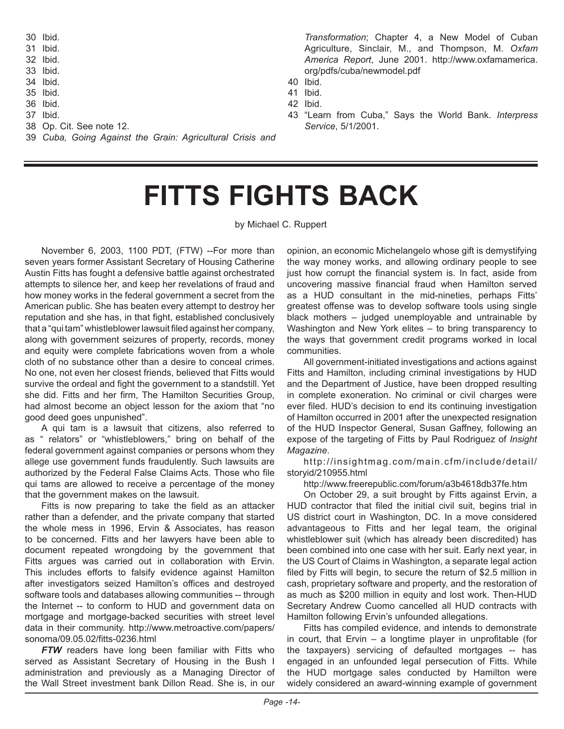30 Ibid. 31 Ibid. 32 Ibid. 33 Ibid. 34 Ibid. 35 Ibid. 36 Ibid. 37 Ibid. 38 Op. Cit. See note 12. 39 *Cuba, Going Against the Grain: Agricultural Crisis and* 

*Transformation*; Chapter 4, a New Model of Cuban Agriculture, Sinclair, M., and Thompson, M. *Oxfam America Report*, June 2001. http://www.oxfamamerica. org/pdfs/cuba/newmodel.pdf

- 40 Ibid.
- 41 Ibid.
- 42 Ibid.
- 43 "Learn from Cuba," Says the World Bank. *Interpress Service*, 5/1/2001.

## **FITTS FIGHTS BACK**

by Michael C. Ruppert

November 6, 2003, 1100 PDT, (FTW) --For more than seven years former Assistant Secretary of Housing Catherine Austin Fitts has fought a defensive battle against orchestrated attempts to silence her, and keep her revelations of fraud and how money works in the federal government a secret from the American public. She has beaten every attempt to destroy her reputation and she has, in that fight, established conclusively that a "qui tam" whistleblower lawsuit filed against her company, along with government seizures of property, records, money and equity were complete fabrications woven from a whole cloth of no substance other than a desire to conceal crimes. No one, not even her closest friends, believed that Fitts would survive the ordeal and fight the government to a standstill. Yet she did. Fitts and her firm, The Hamilton Securities Group, had almost become an object lesson for the axiom that "no good deed goes unpunished".

A qui tam is a lawsuit that citizens, also referred to as " relators" or "whistleblowers," bring on behalf of the federal government against companies or persons whom they allege use government funds fraudulently. Such lawsuits are authorized by the Federal False Claims Acts. Those who file qui tams are allowed to receive a percentage of the money that the government makes on the lawsuit.

Fitts is now preparing to take the field as an attacker rather than a defender, and the private company that started the whole mess in 1996, Ervin & Associates, has reason to be concerned. Fitts and her lawyers have been able to document repeated wrongdoing by the government that Fitts argues was carried out in collaboration with Ervin. This includes efforts to falsify evidence against Hamilton after investigators seized Hamilton's offices and destroyed software tools and databases allowing communities -- through the Internet -- to conform to HUD and government data on mortgage and mortgage-backed securities with street level data in their community. http://www.metroactive.com/papers/ sonoma/09.05.02/fitts-0236.html

**FTW** readers have long been familiar with Fitts who served as Assistant Secretary of Housing in the Bush I administration and previously as a Managing Director of the Wall Street investment bank Dillon Read. She is, in our

opinion, an economic Michelangelo whose gift is demystifying the way money works, and allowing ordinary people to see just how corrupt the financial system is. In fact, aside from uncovering massive financial fraud when Hamilton served as a HUD consultant in the mid-nineties, perhaps Fitts' greatest offense was to develop software tools using single black mothers – judged unemployable and untrainable by Washington and New York elites – to bring transparency to the ways that government credit programs worked in local communities.

All government-initiated investigations and actions against Fitts and Hamilton, including criminal investigations by HUD and the Department of Justice, have been dropped resulting in complete exoneration. No criminal or civil charges were ever filed. HUD's decision to end its continuing investigation of Hamilton occurred in 2001 after the unexpected resignation of the HUD Inspector General, Susan Gaffney, following an expose of the targeting of Fitts by Paul Rodriguez of *Insight Magazine*.

http://insightmag.com/main.cfm/include/detail/ storyid/210955.html

http://www.freerepublic.com/forum/a3b4618db37fe.htm

On October 29, a suit brought by Fitts against Ervin, a HUD contractor that filed the initial civil suit, begins trial in US district court in Washington, DC. In a move considered advantageous to Fitts and her legal team, the original whistleblower suit (which has already been discredited) has been combined into one case with her suit. Early next year, in the US Court of Claims in Washington, a separate legal action filed by Fitts will begin, to secure the return of \$2.5 million in cash, proprietary software and property, and the restoration of as much as \$200 million in equity and lost work. Then-HUD Secretary Andrew Cuomo cancelled all HUD contracts with Hamilton following Ervin's unfounded allegations.

Fitts has compiled evidence, and intends to demonstrate in court, that Ervin – a longtime player in unprofitable (for the taxpayers) servicing of defaulted mortgages -- has engaged in an unfounded legal persecution of Fitts. While the HUD mortgage sales conducted by Hamilton were widely considered an award-winning example of government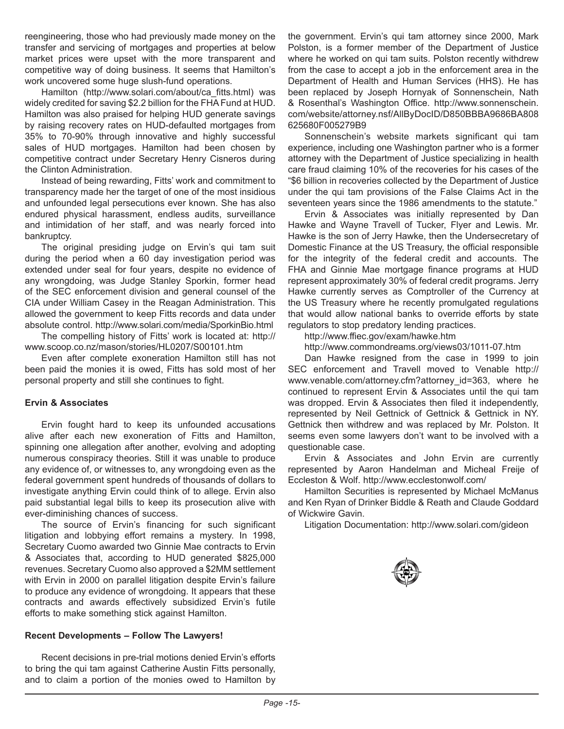reengineering, those who had previously made money on the transfer and servicing of mortgages and properties at below market prices were upset with the more transparent and competitive way of doing business. It seems that Hamilton's work uncovered some huge slush-fund operations.

Hamilton (http://www.solari.com/about/ca\_fitts.html) was widely credited for saving \$2.2 billion for the FHA Fund at HUD. Hamilton was also praised for helping HUD generate savings by raising recovery rates on HUD-defaulted mortgages from 35% to 70-90% through innovative and highly successful sales of HUD mortgages. Hamilton had been chosen by competitive contract under Secretary Henry Cisneros during the Clinton Administration.

Instead of being rewarding, Fitts' work and commitment to transparency made her the target of one of the most insidious and unfounded legal persecutions ever known. She has also endured physical harassment, endless audits, surveillance and intimidation of her staff, and was nearly forced into bankruptcy.

The original presiding judge on Ervin's qui tam suit during the period when a 60 day investigation period was extended under seal for four years, despite no evidence of any wrongdoing, was Judge Stanley Sporkin, former head of the SEC enforcement division and general counsel of the CIA under William Casey in the Reagan Administration. This allowed the government to keep Fitts records and data under absolute control. http://www.solari.com/media/SporkinBio.html

The compelling history of Fitts' work is located at: http:// www.scoop.co.nz/mason/stories/HL0207/S00101.htm

Even after complete exoneration Hamilton still has not been paid the monies it is owed, Fitts has sold most of her personal property and still she continues to fight.

## **Ervin & Associates**

Ervin fought hard to keep its unfounded accusations alive after each new exoneration of Fitts and Hamilton, spinning one allegation after another, evolving and adopting numerous conspiracy theories. Still it was unable to produce any evidence of, or witnesses to, any wrongdoing even as the federal government spent hundreds of thousands of dollars to investigate anything Ervin could think of to allege. Ervin also paid substantial legal bills to keep its prosecution alive with ever-diminishing chances of success.

The source of Ervin's financing for such significant litigation and lobbying effort remains a mystery. In 1998, Secretary Cuomo awarded two Ginnie Mae contracts to Ervin & Associates that, according to HUD generated \$825,000 revenues. Secretary Cuomo also approved a \$2MM settlement with Ervin in 2000 on parallel litigation despite Ervin's failure to produce any evidence of wrongdoing. It appears that these contracts and awards effectively subsidized Ervin's futile efforts to make something stick against Hamilton.

## **Recent Developments – Follow The Lawyers!**

Recent decisions in pre-trial motions denied Ervin's efforts to bring the qui tam against Catherine Austin Fitts personally, and to claim a portion of the monies owed to Hamilton by the government. Ervin's qui tam attorney since 2000, Mark Polston, is a former member of the Department of Justice where he worked on qui tam suits. Polston recently withdrew from the case to accept a job in the enforcement area in the Department of Health and Human Services (HHS). He has been replaced by Joseph Hornyak of Sonnenschein, Nath & Rosenthal's Washington Office. http://www.sonnenschein. com/website/attorney.nsf/AllByDocID/D850BBBA9686BA808 625680F005279B9

Sonnenschein's website markets significant qui tam experience, including one Washington partner who is a former attorney with the Department of Justice specializing in health care fraud claiming 10% of the recoveries for his cases of the "\$6 billion in recoveries collected by the Department of Justice under the qui tam provisions of the False Claims Act in the seventeen years since the 1986 amendments to the statute."

Ervin & Associates was initially represented by Dan Hawke and Wayne Travell of Tucker, Flyer and Lewis. Mr. Hawke is the son of Jerry Hawke, then the Undersecretary of Domestic Finance at the US Treasury, the official responsible for the integrity of the federal credit and accounts. The FHA and Ginnie Mae mortgage finance programs at HUD represent approximately 30% of federal credit programs. Jerry Hawke currently serves as Comptroller of the Currency at the US Treasury where he recently promulgated regulations that would allow national banks to override efforts by state regulators to stop predatory lending practices.

http://www.ffiec.gov/exam/hawke.htm

http://www.commondreams.org/views03/1011-07.htm

Dan Hawke resigned from the case in 1999 to join SEC enforcement and Travell moved to Venable http:// www.venable.com/attorney.cfm?attorney\_id=363, where he continued to represent Ervin & Associates until the qui tam was dropped. Ervin & Associates then filed it independently, represented by Neil Gettnick of Gettnick & Gettnick in NY. Gettnick then withdrew and was replaced by Mr. Polston. It seems even some lawyers don't want to be involved with a questionable case.

Ervin & Associates and John Ervin are currently represented by Aaron Handelman and Micheal Freije of Eccleston & Wolf. http://www.ecclestonwolf.com/

Hamilton Securities is represented by Michael McManus and Ken Ryan of Drinker Biddle & Reath and Claude Goddard of Wickwire Gavin.

Litigation Documentation: http://www.solari.com/gideon

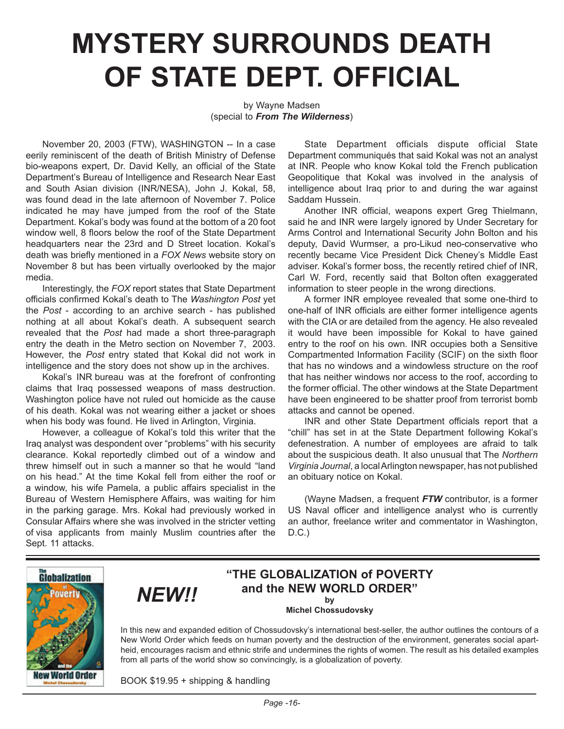## **MYSTERY SURROUNDS DEATH OF STATE DEPT. OFFICIAL**

## by Wayne Madsen (special to *From The Wilderness*)

November 20, 2003 (FTW), WASHINGTON -- In a case eerily reminiscent of the death of British Ministry of Defense bio-weapons expert, Dr. David Kelly, an official of the State Department's Bureau of Intelligence and Research Near East and South Asian division (INR/NESA), John J. Kokal, 58, was found dead in the late afternoon of November 7. Police indicated he may have jumped from the roof of the State Department. Kokal's body was found at the bottom of a 20 foot window well, 8 floors below the roof of the State Department headquarters near the 23rd and D Street location. Kokal's death was briefly mentioned in a *FOX News* website story on November 8 but has been virtually overlooked by the major media.

Interestingly, the *FOX* report states that State Department officials confirmed Kokal's death to The *Washington Post* yet the *Post* - according to an archive search - has published nothing at all about Kokal's death. A subsequent search revealed that the *Post* had made a short three-paragraph entry the death in the Metro section on November 7, 2003. However, the *Post* entry stated that Kokal did not work in intelligence and the story does not show up in the archives.

Kokal's INR bureau was at the forefront of confronting claims that Iraq possessed weapons of mass destruction. Washington police have not ruled out homicide as the cause of his death. Kokal was not wearing either a jacket or shoes when his body was found. He lived in Arlington, Virginia.

However, a colleague of Kokal's told this writer that the Iraq analyst was despondent over "problems" with his security clearance. Kokal reportedly climbed out of a window and threw himself out in such a manner so that he would "land on his head." At the time Kokal fell from either the roof or a window, his wife Pamela, a public affairs specialist in the Bureau of Western Hemisphere Affairs, was waiting for him in the parking garage. Mrs. Kokal had previously worked in Consular Affairs where she was involved in the stricter vetting of visa applicants from mainly Muslim countries after the Sept. 11 attacks.

*NEW!!*

State Department officials dispute official State Department communiqués that said Kokal was not an analyst at INR. People who know Kokal told the French publication Geopolitique that Kokal was involved in the analysis of intelligence about Iraq prior to and during the war against Saddam Hussein.

Another INR official, weapons expert Greg Thielmann, said he and INR were largely ignored by Under Secretary for Arms Control and International Security John Bolton and his deputy, David Wurmser, a pro-Likud neo-conservative who recently became Vice President Dick Cheney's Middle East adviser. Kokal's former boss, the recently retired chief of INR, Carl W. Ford, recently said that Bolton often exaggerated information to steer people in the wrong directions.

A former INR employee revealed that some one-third to one-half of INR officials are either former intelligence agents with the CIA or are detailed from the agency. He also revealed it would have been impossible for Kokal to have gained entry to the roof on his own. INR occupies both a Sensitive Compartmented Information Facility (SCIF) on the sixth floor that has no windows and a windowless structure on the roof that has neither windows nor access to the roof, according to the former official. The other windows at the State Department have been engineered to be shatter proof from terrorist bomb attacks and cannot be opened.

INR and other State Department officials report that a "chill" has set in at the State Department following Kokal's defenestration. A number of employees are afraid to talk about the suspicious death. It also unusual that The *Northern Virginia Journal*, a local Arlington newspaper, has not published an obituary notice on Kokal.

(Wayne Madsen, a frequent *FTW* contributor, is a former US Naval officer and intelligence analyst who is currently an author, freelance writer and commentator in Washington,  $D.C.$ )



## **"THE GLOBALIZATION of POVERTY and the NEW WORLD ORDER" by**

**Michel Chossudovsky** 

In this new and expanded edition of Chossudovsky's international best-seller, the author outlines the contours of a New World Order which feeds on human poverty and the destruction of the environment, generates social apartheid, encourages racism and ethnic strife and undermines the rights of women. The result as his detailed examples from all parts of the world show so convincingly, is a globalization of poverty.

BOOK \$19.95 + shipping & handling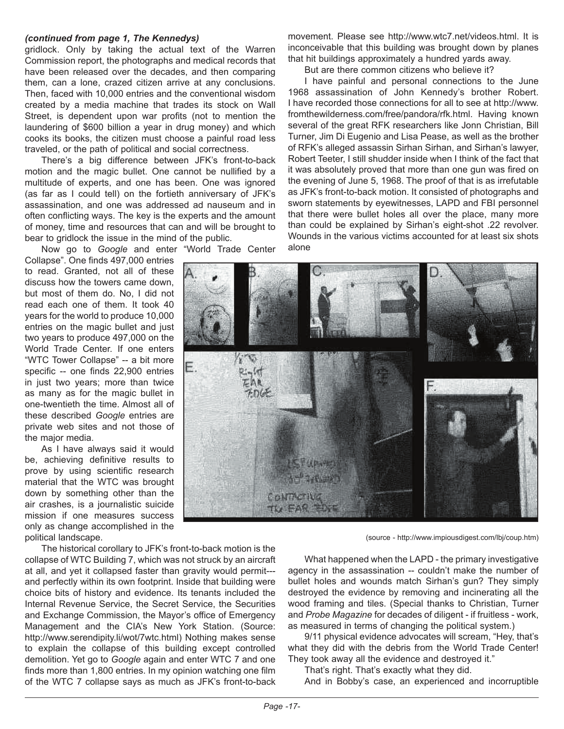## *(continued from page 1, The Kennedys)*

gridlock. Only by taking the actual text of the Warren Commission report, the photographs and medical records that have been released over the decades, and then comparing them, can a lone, crazed citizen arrive at any conclusions. Then, faced with 10,000 entries and the conventional wisdom created by a media machine that trades its stock on Wall Street, is dependent upon war profits (not to mention the laundering of \$600 billion a year in drug money) and which cooks its books, the citizen must choose a painful road less traveled, or the path of political and social correctness.

There's a big difference between JFK's front-to-back motion and the magic bullet. One cannot be nullified by a multitude of experts, and one has been. One was ignored (as far as I could tell) on the fortieth anniversary of JFK's assassination, and one was addressed ad nauseum and in often conflicting ways. The key is the experts and the amount of money, time and resources that can and will be brought to bear to gridlock the issue in the mind of the public.

Now go to *Google* and enter "World Trade Center Collapse". One finds 497,000 entries to read. Granted, not all of these discuss how the towers came down, but most of them do. No, I did not read each one of them. It took 40 years for the world to produce 10,000 entries on the magic bullet and just two years to produce 497,000 on the World Trade Center. If one enters "WTC Tower Collapse" -- a bit more specific -- one finds 22,900 entries in just two years; more than twice as many as for the magic bullet in one-twentieth the time. Almost all of these described *Google* entries are private web sites and not those of the major media.

As I have always said it would be, achieving definitive results to prove by using scientific research material that the WTC was brought down by something other than the air crashes, is a journalistic suicide mission if one measures success only as change accomplished in the political landscape.

The historical corollary to JFK's front-to-back motion is the collapse of WTC Building 7, which was not struck by an aircraft at all, and yet it collapsed faster than gravity would permit-- and perfectly within its own footprint. Inside that building were choice bits of history and evidence. Its tenants included the Internal Revenue Service, the Secret Service, the Securities and Exchange Commission, the Mayor's office of Emergency Management and the CIA's New York Station. (Source: http://www.serendipity.li/wot/7wtc.html) Nothing makes sense to explain the collapse of this building except controlled demolition. Yet go to *Google* again and enter WTC 7 and one finds more than 1,800 entries. In my opinion watching one film of the WTC 7 collapse says as much as JFK's front-to-back

movement. Please see http://www.wtc7.net/videos.html. It is inconceivable that this building was brought down by planes that hit buildings approximately a hundred yards away.

But are there common citizens who believe it?

I have painful and personal connections to the June 1968 assassination of John Kennedy's brother Robert. I have recorded those connections for all to see at http://www. fromthewilderness.com/free/pandora/rfk.html. Having known several of the great RFK researchers like Jonn Christian, Bill Turner, Jim Di Eugenio and Lisa Pease, as well as the brother of RFK's alleged assassin Sirhan Sirhan, and Sirhan's lawyer, Robert Teeter, I still shudder inside when I think of the fact that it was absolutely proved that more than one gun was fired on the evening of June 5, 1968. The proof of that is as irrefutable as JFK's front-to-back motion. It consisted of photographs and sworn statements by eyewitnesses, LAPD and FBI personnel that there were bullet holes all over the place, many more than could be explained by Sirhan's eight-shot .22 revolver. Wounds in the various victims accounted for at least six shots alone



(source - http://www.impiousdigest.com/lbj/coup.htm)

What happened when the LAPD - the primary investigative agency in the assassination -- couldn't make the number of bullet holes and wounds match Sirhan's gun? They simply destroyed the evidence by removing and incinerating all the wood framing and tiles. (Special thanks to Christian, Turner and *Probe Magazine* for decades of diligent - if fruitless - work, as measured in terms of changing the political system.)

9/11 physical evidence advocates will scream, "Hey, that's what they did with the debris from the World Trade Center! They took away all the evidence and destroyed it."

That's right. That's exactly what they did.

And in Bobby's case, an experienced and incorruptible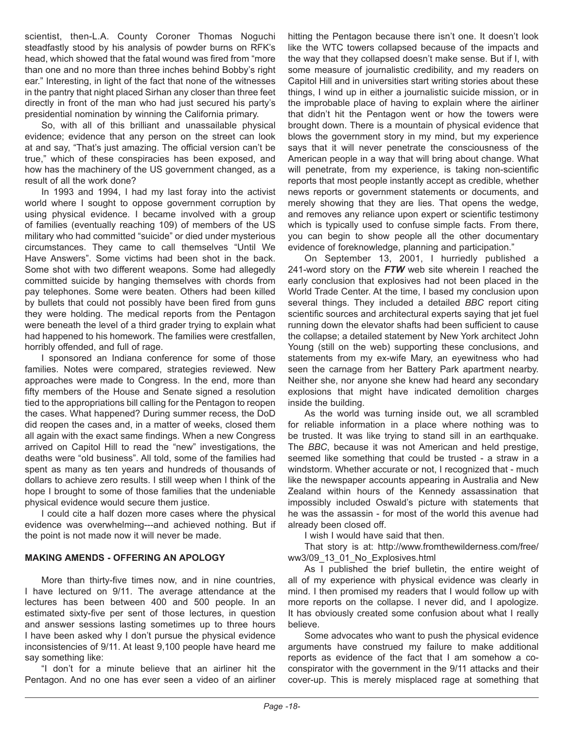scientist, then-L.A. County Coroner Thomas Noguchi steadfastly stood by his analysis of powder burns on RFK's head, which showed that the fatal wound was fired from "more than one and no more than three inches behind Bobby's right ear." Interesting, in light of the fact that none of the witnesses in the pantry that night placed Sirhan any closer than three feet directly in front of the man who had just secured his party's presidential nomination by winning the California primary.

So, with all of this brilliant and unassailable physical evidence; evidence that any person on the street can look at and say, "That's just amazing. The official version can't be true," which of these conspiracies has been exposed, and how has the machinery of the US government changed, as a result of all the work done?

In 1993 and 1994, I had my last foray into the activist world where I sought to oppose government corruption by using physical evidence. I became involved with a group of families (eventually reaching 109) of members of the US military who had committed "suicide" or died under mysterious circumstances. They came to call themselves "Until We Have Answers". Some victims had been shot in the back. Some shot with two different weapons. Some had allegedly committed suicide by hanging themselves with chords from pay telephones. Some were beaten. Others had been killed by bullets that could not possibly have been fired from guns they were holding. The medical reports from the Pentagon were beneath the level of a third grader trying to explain what had happened to his homework. The families were crestfallen, horribly offended, and full of rage.

I sponsored an Indiana conference for some of those families. Notes were compared, strategies reviewed. New approaches were made to Congress. In the end, more than fifty members of the House and Senate signed a resolution tied to the appropriations bill calling for the Pentagon to reopen the cases. What happened? During summer recess, the DoD did reopen the cases and, in a matter of weeks, closed them all again with the exact same findings. When a new Congress arrived on Capitol Hill to read the "new" investigations, the deaths were "old business". All told, some of the families had spent as many as ten years and hundreds of thousands of dollars to achieve zero results. I still weep when I think of the hope I brought to some of those families that the undeniable physical evidence would secure them justice.

I could cite a half dozen more cases where the physical evidence was overwhelming---and achieved nothing. But if the point is not made now it will never be made.

## **MAKING AMENDS - OFFERING AN APOLOGY**

More than thirty-five times now, and in nine countries, I have lectured on 9/11. The average attendance at the lectures has been between 400 and 500 people. In an estimated sixty-five per sent of those lectures, in question and answer sessions lasting sometimes up to three hours I have been asked why I don't pursue the physical evidence inconsistencies of 9/11. At least 9,100 people have heard me say something like:

"I don't for a minute believe that an airliner hit the Pentagon. And no one has ever seen a video of an airliner hitting the Pentagon because there isn't one. It doesn't look like the WTC towers collapsed because of the impacts and the way that they collapsed doesn't make sense. But if I, with some measure of journalistic credibility, and my readers on Capitol Hill and in universities start writing stories about these things, I wind up in either a journalistic suicide mission, or in the improbable place of having to explain where the airliner that didn't hit the Pentagon went or how the towers were brought down. There is a mountain of physical evidence that blows the government story in my mind, but my experience says that it will never penetrate the consciousness of the American people in a way that will bring about change. What will penetrate, from my experience, is taking non-scientific reports that most people instantly accept as credible, whether news reports or government statements or documents, and merely showing that they are lies. That opens the wedge, and removes any reliance upon expert or scientific testimony which is typically used to confuse simple facts. From there, you can begin to show people all the other documentary evidence of foreknowledge, planning and participation."

On September 13, 2001, I hurriedly published a 241-word story on the *FTW* web site wherein I reached the early conclusion that explosives had not been placed in the World Trade Center. At the time, I based my conclusion upon several things. They included a detailed *BBC* report citing scientific sources and architectural experts saying that jet fuel running down the elevator shafts had been sufficient to cause the collapse; a detailed statement by New York architect John Young (still on the web) supporting these conclusions, and statements from my ex-wife Mary, an eyewitness who had seen the carnage from her Battery Park apartment nearby. Neither she, nor anyone she knew had heard any secondary explosions that might have indicated demolition charges inside the building.

As the world was turning inside out, we all scrambled for reliable information in a place where nothing was to be trusted. It was like trying to stand sill in an earthquake. The *BBC*, because it was not American and held prestige, seemed like something that could be trusted - a straw in a windstorm. Whether accurate or not, I recognized that - much like the newspaper accounts appearing in Australia and New Zealand within hours of the Kennedy assassination that impossibly included Oswald's picture with statements that he was the assassin - for most of the world this avenue had already been closed off.

I wish I would have said that then.

That story is at: http://www.fromthewilderness.com/free/ ww3/09\_13\_01\_No\_Explosives.html

As I published the brief bulletin, the entire weight of all of my experience with physical evidence was clearly in mind. I then promised my readers that I would follow up with more reports on the collapse. I never did, and I apologize. It has obviously created some confusion about what I really believe.

Some advocates who want to push the physical evidence arguments have construed my failure to make additional reports as evidence of the fact that I am somehow a coconspirator with the government in the 9/11 attacks and their cover-up. This is merely misplaced rage at something that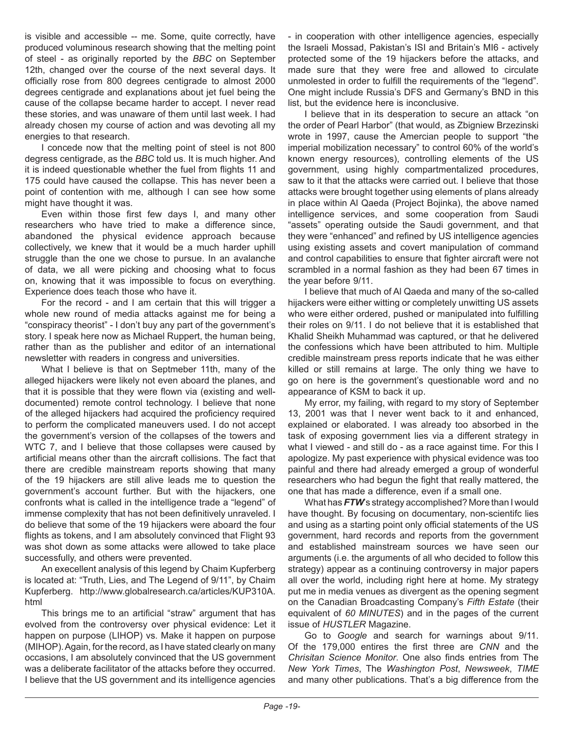is visible and accessible -- me. Some, quite correctly, have produced voluminous research showing that the melting point of steel - as originally reported by the *BBC* on September 12th, changed over the course of the next several days. It officially rose from 800 degrees centigrade to almost 2000 degrees centigrade and explanations about jet fuel being the cause of the collapse became harder to accept. I never read these stories, and was unaware of them until last week. I had already chosen my course of action and was devoting all my energies to that research.

I concede now that the melting point of steel is not 800 degress centigrade, as the *BBC* told us. It is much higher. And it is indeed questionable whether the fuel from flights 11 and 175 could have caused the collapse. This has never been a point of contention with me, although I can see how some might have thought it was.

Even within those first few days I, and many other researchers who have tried to make a difference since, abandoned the physical evidence approach because collectively, we knew that it would be a much harder uphill struggle than the one we chose to pursue. In an avalanche of data, we all were picking and choosing what to focus on, knowing that it was impossible to focus on everything. Experience does teach those who have it.

For the record - and I am certain that this will trigger a whole new round of media attacks against me for being a "conspiracy theorist" - I don't buy any part of the government's story. I speak here now as Michael Ruppert, the human being, rather than as the publisher and editor of an international newsletter with readers in congress and universities.

What I believe is that on Septmeber 11th, many of the alleged hijackers were likely not even aboard the planes, and that it is possible that they were flown via (existing and welldocumented) remote control technology. I believe that none of the alleged hijackers had acquired the proficiency required to perform the complicated maneuvers used. I do not accept the government's version of the collapses of the towers and WTC 7, and I believe that those collapses were caused by artificial means other than the aircraft collisions. The fact that there are credible mainstream reports showing that many of the 19 hijackers are still alive leads me to question the government's account further. But with the hijackers, one confronts what is called in the intelligence trade a "legend" of immense complexity that has not been definitively unraveled. I do believe that some of the 19 hijackers were aboard the four flights as tokens, and I am absolutely convinced that Flight 93 was shot down as some attacks were allowed to take place successfully, and others were prevented.

An execellent analysis of this legend by Chaim Kupferberg is located at: "Truth, Lies, and The Legend of 9/11", by Chaim Kupferberg. http://www.globalresearch.ca/articles/KUP310A. html

This brings me to an artificial "straw" argument that has evolved from the controversy over physical evidence: Let it happen on purpose (LIHOP) vs. Make it happen on purpose (MIHOP). Again, for the record, as I have stated clearly on many occasions, I am absolutely convinced that the US government was a deliberate facilitator of the attacks before they occurred. I believe that the US government and its intelligence agencies

- in cooperation with other intelligence agencies, especially the Israeli Mossad, Pakistan's ISI and Britain's MI6 - actively protected some of the 19 hijackers before the attacks, and made sure that they were free and allowed to circulate unmolested in order to fulfill the requirements of the "legend". One might include Russia's DFS and Germany's BND in this list, but the evidence here is inconclusive.

I believe that in its desperation to secure an attack "on the order of Pearl Harbor" (that would, as Zbigniew Brzezinski wrote in 1997, cause the Amercian people to support "the imperial mobilization necessary" to control 60% of the world's known energy resources), controlling elements of the US government, using highly compartmentalized procedures, saw to it that the attacks were carried out. I believe that those attacks were brought together using elements of plans already in place within Al Qaeda (Project Bojinka), the above named intelligence services, and some cooperation from Saudi "assets" operating outside the Saudi government, and that they were "enhanced" and refined by US intelligence agencies using existing assets and covert manipulation of command and control capabilities to ensure that fighter aircraft were not scrambled in a normal fashion as they had been 67 times in the year before 9/11.

I believe that much of Al Qaeda and many of the so-called hijackers were either witting or completely unwitting US assets who were either ordered, pushed or manipulated into fulfilling their roles on 9/11. I do not believe that it is established that Khalid Sheikh Muhammad was captured, or that he delivered the confessions which have been attributed to him. Multiple credible mainstream press reports indicate that he was either killed or still remains at large. The only thing we have to go on here is the government's questionable word and no appearance of KSM to back it up.

My error, my failing, with regard to my story of September 13, 2001 was that I never went back to it and enhanced, explained or elaborated. I was already too absorbed in the task of exposing government lies via a different strategy in what I viewed - and still do - as a race against time. For this I apologize. My past experience with physical evidence was too painful and there had already emerged a group of wonderful researchers who had begun the fight that really mattered, the one that has made a difference, even if a small one.

What has *FTW*'s strategy accomplished? More than I would have thought. By focusing on documentary, non-scientifc lies and using as a starting point only official statements of the US government, hard records and reports from the government and established mainstream sources we have seen our arguments (i.e. the arguments of all who decided to follow this strategy) appear as a continuing controversy in major papers all over the world, including right here at home. My strategy put me in media venues as divergent as the opening segment on the Canadian Broadcasting Company's *Fifth Estate* (their equivalent of *60 MINUTES*) and in the pages of the current issue of *HUSTLER* Magazine.

Go to *Google* and search for warnings about 9/11. Of the 179,000 entires the first three are *CNN* and the *Chrisitan Science Monitor*. One also finds entries from The *New York Times*, The *Washington Post*, *Newsweek*, *TIME* and many other publications. That's a big difference from the